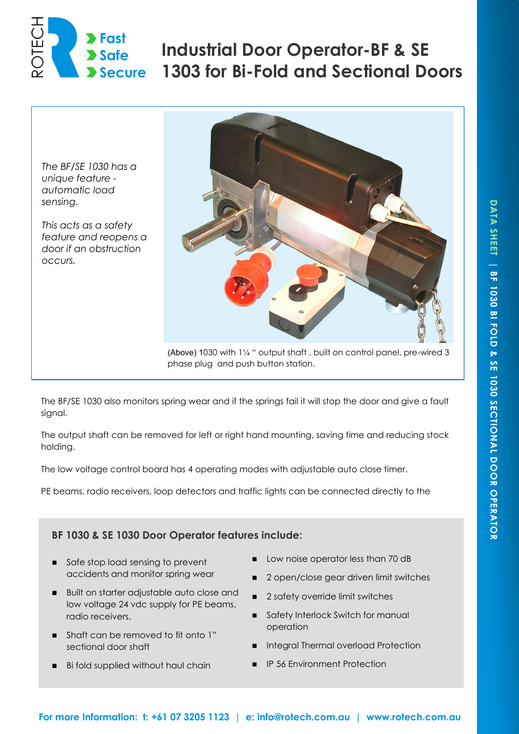

# **Industrial Door Operator-BF & SE 1303 for Bi-Fold and Sectional Doors**

*The BF/SE 1030 has a unique feature automatic load sensing.*

*This acts as a safety feature and reopens a door if an obstruction occurs.* 



(Above) 1030 with 1¼ " output shaft , built on control panel, pre-wired 3 phase plug and push button station.

The BF/SE 1030 also monitors spring wear and if the springs fail it will stop the door and give a fault signal.

The output shaft can be removed for left or right hand mounting, saving time and reducing stock holding.

The low voltage control board has 4 operating modes with adjustable auto close timer.

PE beams, radio receivers, loop detectors and traffic lights can be connected directly to the

## **BF 1030 & SE 1030 Door Operator features include:**

- Safe stop load sensing to prevent accidents and monitor spring wear
- **Built on starter adjustable auto close and** low voltage 24 vdc supply for PE beams, radio receivers.
- Shaft can be removed to fit onto 1" sectional door shaft
- Bi fold supplied without haul chain
- Low noise operator less than 70 dB
- 2 open/close gear driven limit switches
- 2 safety override limit switches
- Safety Interlock Switch for manual operation
- Integral Thermal overload Protection
- **IP 56 Environment Protection**